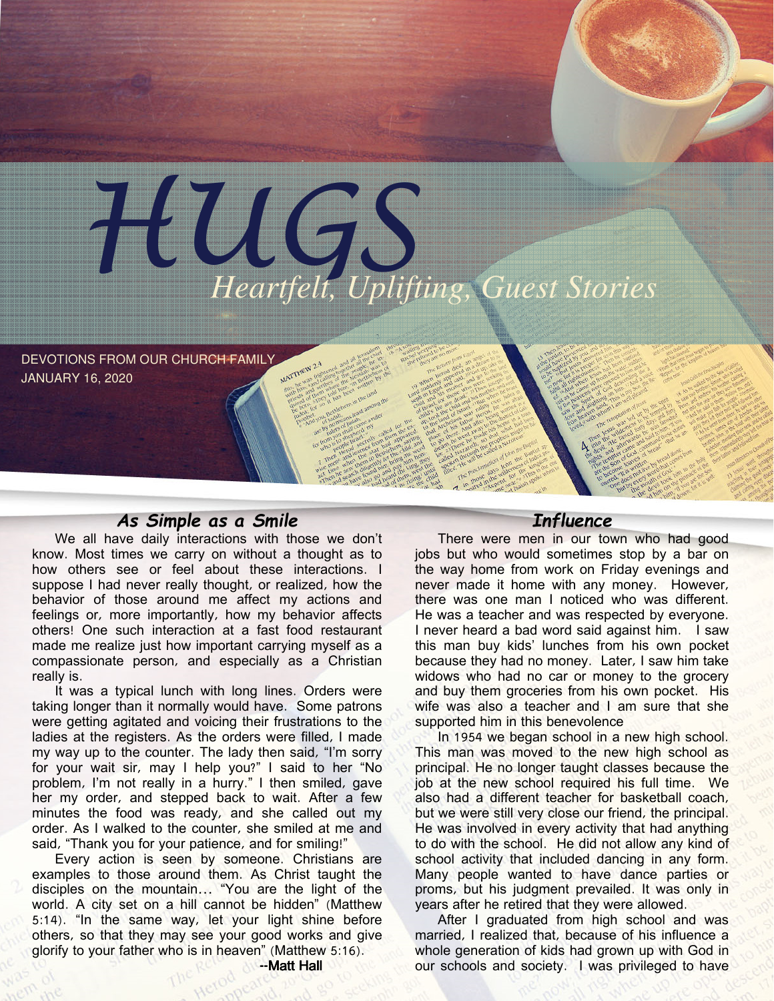

DEVOTIONS FROM OUR CHURCH FAMILY JANUARY 16, 2020

## As Simple as a Smile

We all have daily interactions with those we don't know. Most times we carry on without a thought as to how others see or feel about these interactions. I suppose I had never really thought, or realized, how the behavior of those around me affect my actions and feelings or, more importantly, how my behavior affects others! One such interaction at a fast food restaurant made me realize just how important carrying myself as a compassionate person, and especially as a Christian really is.

It was a typical lunch with long lines. Orders were taking longer than it normally would have. Some patrons were getting agitated and voicing their frustrations to the ladies at the registers. As the orders were filled, I made my way up to the counter. The lady then said, "I'm sorry for your wait sir, may I help you?" I said to her "No problem, I'm not really in a hurry." I then smiled, gave her my order, and stepped back to wait. After a few minutes the food was ready, and she called out my order. As I walked to the counter, she smiled at me and said, "Thank you for your patience, and for smiling!"

Every action is seen by someone. Christians are examples to those around them. As Christ taught the disciples on the mountain… "You are the light of the world. A city set on a hill cannot be hidden" (Matthew 5:14). "In the same way, let your light shine before others, so that they may see your good works and give glorify to your father who is in heaven" (Matthew 5:16).

## **Influence**

There were men in our town who had good jobs but who would sometimes stop by a bar on the way home from work on Friday evenings and never made it home with any money. However, there was one man I noticed who was different. He was a teacher and was respected by everyone. I never heard a bad word said against him. I saw this man buy kids' lunches from his own pocket because they had no money. Later, I saw him take widows who had no car or money to the grocery and buy them groceries from his own pocket. His wife was also a teacher and I am sure that she supported him in this benevolence

In 1954 we began school in a new high school. This man was moved to the new high school as principal. He no longer taught classes because the job at the new school required his full time. We also had a different teacher for basketball coach, but we were still very close our friend, the principal. He was involved in every activity that had anything to do with the school. He did not allow any kind of school activity that included dancing in any form. Many people wanted to have dance parties or proms, but his judgment prevailed. It was only in years after he retired that they were allowed.

After I graduated from high school and was married, I realized that, because of his influence a whole generation of kids had grown up with God in our schools and society. I was privileged to have

--Matt Hall